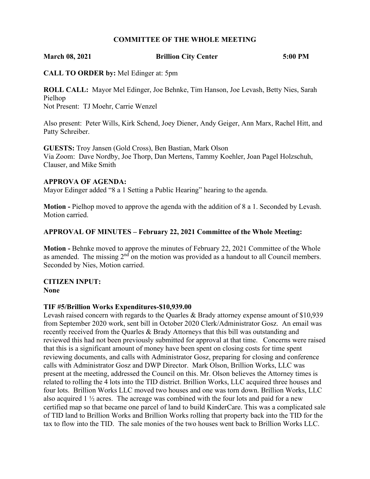# **COMMITTEE OF THE WHOLE MEETING**

### **March 08, 2021 Brillion City Center 5:00 PM**

**CALL TO ORDER by:** Mel Edinger at: 5pm

**ROLL CALL:** Mayor Mel Edinger, Joe Behnke, Tim Hanson, Joe Levash, Betty Nies, Sarah Pielhop Not Present: TJ Moehr, Carrie Wenzel

Also present: Peter Wills, Kirk Schend, Joey Diener, Andy Geiger, Ann Marx, Rachel Hitt, and Patty Schreiber.

**GUESTS:** Troy Jansen (Gold Cross), Ben Bastian, Mark Olson Via Zoom: Dave Nordby, Joe Thorp, Dan Mertens, Tammy Koehler, Joan Pagel Holzschuh, Clauser, and Mike Smith

### **APPROVA OF AGENDA:**

Mayor Edinger added "8 a 1 Setting a Public Hearing" hearing to the agenda.

**Motion -** Pielhop moved to approve the agenda with the addition of 8 a 1. Seconded by Levash. Motion carried.

# **APPROVAL OF MINUTES – February 22, 2021 Committee of the Whole Meeting:**

**Motion -** Behnke moved to approve the minutes of February 22, 2021 Committee of the Whole as amended. The missing  $2<sup>nd</sup>$  on the motion was provided as a handout to all Council members. Seconded by Nies, Motion carried.

# **CITIZEN INPUT:**

**None**

# **TIF #5/Brillion Works Expenditures-\$10,939.00**

Levash raised concern with regards to the Quarles & Brady attorney expense amount of \$10,939 from September 2020 work, sent bill in October 2020 Clerk/Administrator Gosz. An email was recently received from the Quarles & Brady Attorneys that this bill was outstanding and reviewed this had not been previously submitted for approval at that time. Concerns were raised that this is a significant amount of money have been spent on closing costs for time spent reviewing documents, and calls with Administrator Gosz, preparing for closing and conference calls with Administrator Gosz and DWP Director. Mark Olson, Brillion Works, LLC was present at the meeting, addressed the Council on this. Mr. Olson believes the Attorney times is related to rolling the 4 lots into the TID district. Brillion Works, LLC acquired three houses and four lots. Brillion Works LLC moved two houses and one was torn down. Brillion Works, LLC also acquired  $1 \frac{1}{2}$  acres. The acreage was combined with the four lots and paid for a new certified map so that became one parcel of land to build KinderCare. This was a complicated sale of TID land to Brillion Works and Brillion Works rolling that property back into the TID for the tax to flow into the TID. The sale monies of the two houses went back to Brillion Works LLC.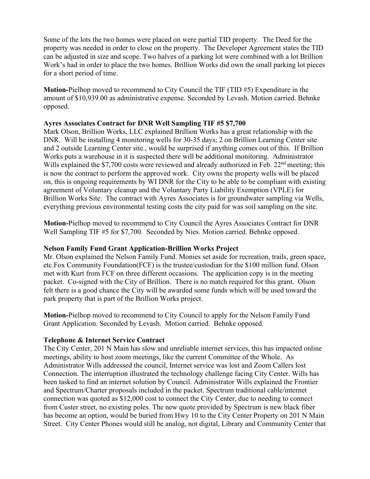Some of the lots the two homes were placed on were partial TID property. The Deed for the property was needed in order to close on the property. The Developer Agreement states the TID can be adjusted in size and scope. Two halves of a parking lot were combined with a lot Brillion Work's had in order to place the two homes. Brillion Works did own the small parking lot pieces for a short period of time.

**Motion-**Pielhop moved to recommend to City Council the TIF (TID #5) Expenditure in the amount of \$10,939.00 as administrative expense. Seconded by Levash. Motion carried. Behnke opposed.

# **Ayres Associates Contract for DNR Well Sampling TIF #5 \$7,700**

Mark Olson, Brillion Works, LLC explained Brillion Works has a great relationship with the DNR. Will be installing 4 monitoring wells for 30-35 days; 2 on Brillion Learning Center site and 2 outside Learning Center site., would be surprised if anything comes out of this. If Brillion Works puts a warehouse in it is suspected there will be additional monitoring. Administrator Wills explained the \$7,700 costs were reviewed and already authorized in Feb.  $22<sup>nd</sup>$  meeting; this is now the contract to perform the approved work. City owns the property wells will be placed on, this is ongoing requirements by WI DNR for the City to be able to be compliant with existing agreement of Voluntary cleanup and the Voluntary Party Liability Exemption (VPLE) for Brillion Works Site. The contract with Ayres Associates is for groundwater sampling via Wells, everything previous environmental testing costs the city paid for was soil sampling on the site.

**Motion-**Pielhop moved to recommend to City Council the Ayres Associates Contract for DNR Well Sampling TIF #5 for \$7,700. Seconded by Nies. Motion carried. Behnke opposed.

# **Nelson Family Fund Grant Application-Brillion Works Project**

Mr. Olson explained the Nelson Family Fund. Monies set aside for recreation, trails, green space, etc.Fox Community Foundation(FCF) is the trustee/custodian for the \$100 million fund. Olson met with Kurt from FCF on three different occasions. The application copy is in the meeting packet. Co-signed with the City of Brillion. There is no match required for this grant. Olson felt there is a good chance the City will be awarded some funds which will be used toward the park property that is part of the Brillion Works project.

**Motion-**Pielhop moved to recommend to City Council to apply for the Nelson Family Fund Grant Application. Seconded by Levash. Motion carried. Behnke opposed.

# **Telephone & Internet Service Contract**

The City Center, 201 N Main has slow and unreliable internet services, this has impacted online meetings, ability to host zoom meetings, like the current Committee of the Whole. As Administrator Wills addressed the council, Internet service was lost and Zoom Callers lost Connection. The interruption illustrated the technology challenge facing City Center. Wills has been tasked to find an internet solution by Council. Administrator Wills explained the Frontier and Spectrum/Charter proposals included in the packet. Spectrum traditional cable/internet connection was quoted as \$12,000 cost to connect the City Center, due to needing to connect from Custer street, no existing poles. The new quote provided by Spectrum is new black fiber has become an option, would be buried from Hwy 10 to the City Center Property on 201 N Main Street. City Center Phones would still be analog, not digital, Library and Community Center that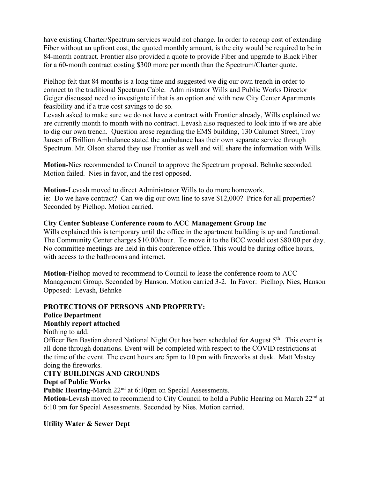have existing Charter/Spectrum services would not change. In order to recoup cost of extending Fiber without an upfront cost, the quoted monthly amount, is the city would be required to be in 84-month contract. Frontier also provided a quote to provide Fiber and upgrade to Black Fiber for a 60-month contract costing \$300 more per month than the Spectrum/Charter quote.

Pielhop felt that 84 months is a long time and suggested we dig our own trench in order to connect to the traditional Spectrum Cable. Administrator Wills and Public Works Director Geiger discussed need to investigate if that is an option and with new City Center Apartments feasibility and if a true cost savings to do so.

Levash asked to make sure we do not have a contract with Frontier already, Wills explained we are currently month to month with no contract. Levash also requested to look into if we are able to dig our own trench. Question arose regarding the EMS building, 130 Calumet Street, Troy Jansen of Brillion Ambulance stated the ambulance has their own separate service through Spectrum. Mr. Olson shared they use Frontier as well and will share the information with Wills.

**Motion-**Nies recommended to Council to approve the Spectrum proposal. Behnke seconded. Motion failed. Nies in favor, and the rest opposed.

**Motion-**Levash moved to direct Administrator Wills to do more homework. ie: Do we have contract? Can we dig our own line to save \$12,000? Price for all properties? Seconded by Pielhop. Motion carried.

# **City Center Sublease Conference room to ACC Management Group Inc**

Wills explained this is temporary until the office in the apartment building is up and functional. The Community Center charges \$10.00/hour. To move it to the BCC would cost \$80.00 per day. No committee meetings are held in this conference office. This would be during office hours, with access to the bathrooms and internet.

**Motion-**Pielhop moved to recommend to Council to lease the conference room to ACC Management Group. Seconded by Hanson. Motion carried 3-2. In Favor: Pielhop, Nies, Hanson Opposed: Levash, Behnke

#### **PROTECTIONS OF PERSONS AND PROPERTY: Police Department**

# **Monthly report attached**

Nothing to add.

Officer Ben Bastian shared National Night Out has been scheduled for August  $5<sup>th</sup>$ . This event is all done through donations. Event will be completed with respect to the COVID restrictions at the time of the event. The event hours are 5pm to 10 pm with fireworks at dusk. Matt Mastey doing the fireworks.

# **CITY BUILDINGS AND GROUNDS**

# **Dept of Public Works**

**Public Hearing-March 22<sup>nd</sup> at 6:10pm on Special Assessments.** 

**Motion-**Levash moved to recommend to City Council to hold a Public Hearing on March 22nd at 6:10 pm for Special Assessments. Seconded by Nies. Motion carried.

**Utility Water & Sewer Dept**